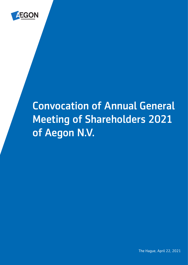

# Convocation of Annual General Meeting of Shareholders 2021 of Aegon N.V.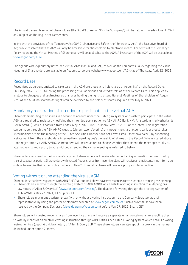The Annual General Meeting of Shareholders (the "AGM") of Aegon N.V. (the "Company") will be held on Thursday, June 3, 2021 at 2.00 p.m. at The Hague, the Netherlands.

In line with the provisions of the Temporary Act COVID-19 Justice and Safety (the "Emergency-Act"), the Executive Board of Aegon N.V. resolved that the AGM will only be accessible for shareholders by electronic means. The terms of the Company's Policy regarding the Virtual Meeting of Shareholders will be applicable to the AGM. A livestream of the AGM will be available at [www.aegon.com](https://www.aegon.com/agm/)/AGM.

The agenda with explanatory notes, the Virtual AGM Manual and FAQ, as well as the Company's Policy regarding the Virtual Meeting of Shareholders are available on Aegon's corporate website ([www.aegon.com/AGM](https://www.aegon.com/agm/)) as of Thursday, April 22, 2021.

### Record Date

Recognized as persons entitled to take part in the AGM are those who hold shares of Aegon N.V. on the Record Date, Thursday, May 6, 2021, following the processing of all additions and withdrawals as at the Record Date. This applies by analogy to pledgees and usufructuaries of shares holding the right to attend General Meetings of Shareholders of Aegon N.V.. At the AGM, no shareholder rights can be exercised by the holder of shares acquired after May 6, 2021.

# Mandatory registration of intention to participate in the virtual AGM

Shareholders holding their shares in a securities account under the Dutch giro system who wish to participate in the virtual AGM are required to register by notifying their intended participation to ABN AMRO Bank N.V., Amsterdam, the Netherlands ("ABN AMRO"), which is possible from Friday, May 7, 2021, until Thursday, May 27, 2021, at the latest. This registration can be made through the ABN AMRO website (abnamro.com/evoting) or through the shareholder's bank or stockbroker (intermediary) within the meaning of the Dutch Securities Transactions Act ("Wet Giraal Effectenverkeer") by submitting a statement from the shareholder's intermediary regarding one's ownership of shares on the Record Date as stated above. Upon registration via ABN AMRO, shareholders will be requested to choose whether they attend the meeting virtually or, alternatively, grant a proxy to vote without attending the virtual meeting as referred to below.

Shareholders registered in the Company's register of shareholders will receive a letter containing information on how to notify their virtual participation. Shareholders with vested Aegon shares from incentive plans will receive an email containing information on how to exercise their voting rights. Holders of New York Registry Shares will receive a proxy solicitation notice.

### Voting without online attending the virtual AGM

Shareholders that have registered with ABN AMRO as outlined above have two manners to vote without attending the meeting:

- Shareholders can vote through the e-voting system of ABN AMRO which entails a voting instruction to a (deputy) civil law notary of Allen & Overy LLP [\(www.abnamro.com/evoting\)](https://corporatebroking.abnamro.com/shareholder). The deadline for voting through the e-voting system of ABN AMRO is May 27, 2021, 11.59 p.m. CET.
- Shareholders may grant a written proxy (with or without a voting instruction) to the Company Secretary as their representative by using the power of attorney available at<www.aegon.com/AGM>. Such a proxy must have been received by the Company Secretary ([bieke.debruyne@aegon.com\)](mailto:bieke.debruyne@aegon.com) before May 27, 2021, 6 p.m. CET.

Shareholders with vested Aegon shares from incentive plans will receive a separate email containing a link enabling them to vote by means of an electronic voting instruction through ABN AMRO's dedicated e-voting system which entails a voting instruction to a (deputy) civil law notary of Allen & Overy LLP. These shareholders can also appoint a proxy in the manner described under option 2 above.

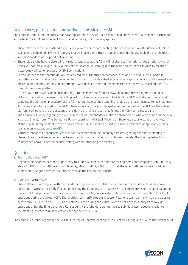# Attendance, participation and voting at the virtual AGM

The Company allows shareholders that have registered with ABN AMRO as outlined above, to virtually attend, participate and vote at the AGM. With respect to virtual attendance, the following applies:

- Shareholders can virtually attend the AGM via www.abnamro.com/evoting. The option of virtual attendance will not be available to holders of New York Registry Shares. In addition, virtual attendance may not be available if a shareholder's intermediary does not support online voting.
- Shareholders who have registered for virtual attendance at the AGM will receive a confirmation of registration by email which will contain a unique link. Via this link the shareholder can login to the online platform of the AGM by means of a two-step verification process (by SMS verification).
- Certain details of the shareholder will be required for authentication purposes, such as his/her valid email address, securities account, and mobile phone number, in order to provide virtual access. Where applicable, also the intermediaries are requested to provide the same information with respect to the shareholders that wish to virtually attend the AGM through the online platform.
- On the day of the AGM, shareholders may log into the online platform via www.abnamro.com/evoting from 1.00 p.m. CET until the start of the meeting at 2.00 p.m. CET. Shareholders who wish to attend the AGM virtually, must log in and complete the admission procedure for the AGM before the meeting starts. Shareholders are recommended to log in at least 15 minutes prior to the start of the AGM. Shareholders who have not logged in before the start of the AGM via the online platform cannot vote or ask questions online during the AGM and can only follow the AGM via the livestream.
- The Company's Policy regarding the Virtual Meeting of Shareholders applies to shareholders who wish to attend the AGM via the online platform. The Company's Policy regarding the Virtual Meeting of Shareholders, as well as an overview of the minimum requirements to the devices and systems that can be used for virtual attendance (if applicable) will be available on [www.aegon.com](https://www.aegon.com/agm/)/AGM.
- Virtual attendance (if applicable) entails risks, as described in the Company's Policy regarding the Virtual Meeting of Shareholders. If a shareholder wishes to avoid such risks, he or she should choose to render their voting instructions as described above under the header "voting without attending the meeting".

### **Questions**

1. Prior to the virtual AGM

Aegon offers shareholders the opportunity to submit written questions concerning items on the agenda until Thursday, May 27 6.00 p.m., but ultimately until Monday, May 31, 2021, 2.00 p.m. CET at the latest. All questions should be submitted to Aegon's Investor Relations team via the link on the website.

2. During the virtual AGM

Shareholders who complied with the mandatory registration to notify their intention to attend the AGM may pose questions in writing - or orally if so announced by the Company on its website - concerning items on the agenda during the virtual AGM, provided that they have timely notified Aegon's Investor Relations team of their intention to submit questions during the virtual AGM. Shareholders can notify Aegon's Investor Relations team via the link on the website before May 31, 2021 2 p.m. CET. The questions raised during the virtual AGM do not have to qualify as follow-up questions under the Emergency Act. Consequently, shareholders do not have to submit written questions prior to the meeting in order to raise questions during the virtual AGM.

The Company's Policy regarding the Virtual Meeting of Shareholders apply to questions during and prior to the Virtual AGM.